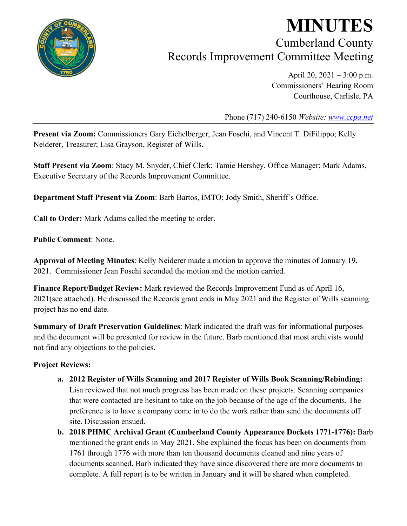

# **MINUTES** Cumberland County Records Improvement Committee Meeting

April 20, 2021 – 3:00 p.m. Commissioners' Hearing Room Courthouse, Carlisle, PA

Phone (717) 240-6150 *Website: [www.ccpa.net](http://www.ccpa.net/)*

**Present via Zoom:** Commissioners Gary Eichelberger, Jean Foschi, and Vincent T. DiFilippo; Kelly Neiderer, Treasurer; Lisa Grayson, Register of Wills.

**Staff Present via Zoom**: Stacy M. Snyder, Chief Clerk; Tamie Hershey, Office Manager; Mark Adams, Executive Secretary of the Records Improvement Committee.

**Department Staff Present via Zoom**: Barb Bartos, IMTO; Jody Smith, Sheriff's Office.

**Call to Order:** Mark Adams called the meeting to order.

**Public Comment**: None.

**Approval of Meeting Minutes**: Kelly Neiderer made a motion to approve the minutes of January 19, 2021. Commissioner Jean Foschi seconded the motion and the motion carried.

**Finance Report/Budget Review:** Mark reviewed the Records Improvement Fund as of April 16, 2021(see attached). He discussed the Records grant ends in May 2021 and the Register of Wills scanning project has no end date.

**Summary of Draft Preservation Guidelines**: Mark indicated the draft was for informational purposes and the document will be presented for review in the future. Barb mentioned that most archivists would not find any objections to the policies.

#### **Project Reviews:**

- **a. 2012 Register of Wills Scanning and 2017 Register of Wills Book Scanning/Rebinding:**  Lisa reviewed that not much progress has been made on these projects. Scanning companies that were contacted are hesitant to take on the job because of the age of the documents. The preference is to have a company come in to do the work rather than send the documents off site. Discussion ensued.
- **b. 2018 PHMC Archival Grant (Cumberland County Appearance Dockets 1771-1776):** Barb mentioned the grant ends in May 2021. She explained the focus has been on documents from 1761 through 1776 with more than ten thousand documents cleaned and nine years of documents scanned. Barb indicated they have since discovered there are more documents to complete. A full report is to be written in January and it will be shared when completed.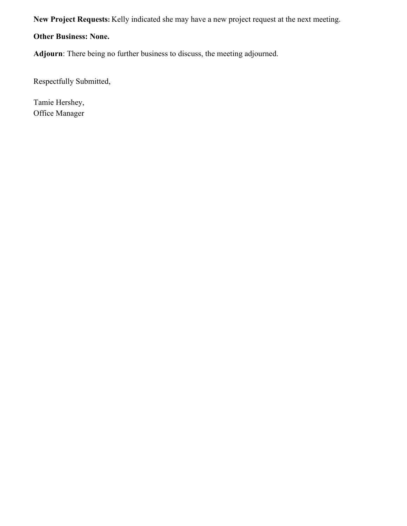**New Project Requests:** Kelly indicated she may have a new project request at the next meeting.

**Other Business: None.**

**Adjourn**: There being no further business to discuss, the meeting adjourned.

Respectfully Submitted,

Tamie Hershey, Office Manager